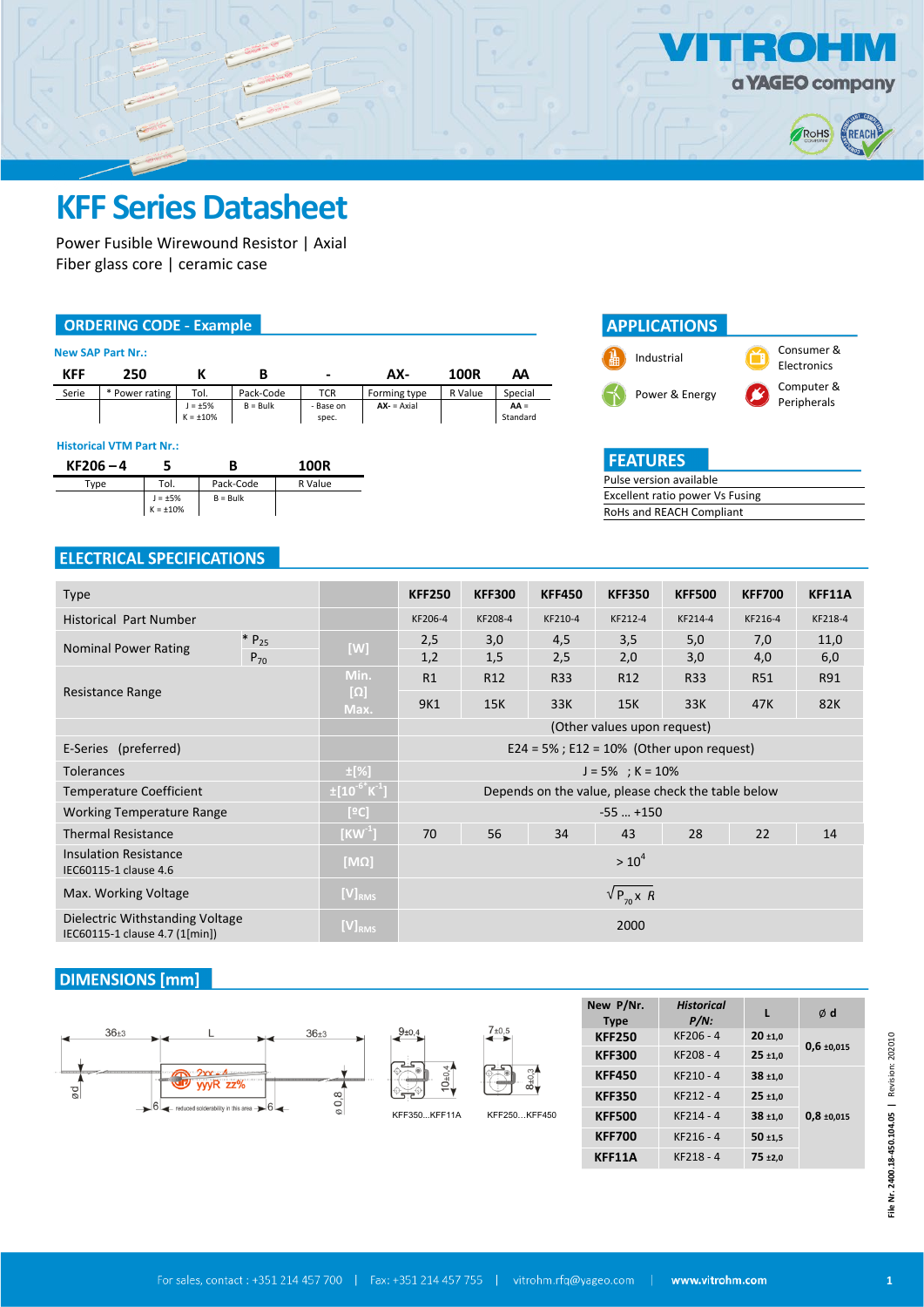

 $\blacksquare$  $\bullet$ 



# **KFF Series Datasheet**

Power Fusible Wirewound Resistor | Axial Fiber glass core | ceramic case

### **ORDERING CODE - Example**

|       | <b>New SAP Part Nr.:</b> |                                 |            |                    |              |         |                    |
|-------|--------------------------|---------------------------------|------------|--------------------|--------------|---------|--------------------|
| KFF   | 250                      |                                 |            | $\blacksquare$     | AX-          | 100R    | АΑ                 |
| Serie | * Power rating           | Tol.                            | Pack-Code  | <b>TCR</b>         | Forming type | R Value | Special            |
|       |                          | $J = \pm 5\%$<br>$K = \pm 10\%$ | $B = Bulk$ | - Base on<br>spec. | $AX - 2A$    |         | $AA =$<br>Standard |

#### **Historical VTM Part Nr.:**

| $KF206 - 4$ |                                 | B          | 100R    |
|-------------|---------------------------------|------------|---------|
| Type        | Tol.                            | Pack-Code  | R Value |
|             | $J = \pm 5\%$<br>$K = \pm 10\%$ | $B = Bulk$ |         |

| <b>APPLICATIONS</b> |                           |
|---------------------|---------------------------|
| Industrial          | Consumer &<br>Electronics |
| Power & Energy      | Computer &<br>Peripherals |

| <b>FEATURES</b>                 |  |  |  |  |
|---------------------------------|--|--|--|--|
| Pulse version available         |  |  |  |  |
| Excellent ratio power Vs Fusing |  |  |  |  |
| RoHs and REACH Compliant        |  |  |  |  |

### **ELECTRICAL SPECIFICATIONS**

| <b>Type</b>                                                       |                                   | <b>KFF250</b>                                      | <b>KFF300</b>   | <b>KFF450</b> | <b>KFF350</b>               | <b>KFF500</b> | <b>KFF700</b> | KFF11A  |  |
|-------------------------------------------------------------------|-----------------------------------|----------------------------------------------------|-----------------|---------------|-----------------------------|---------------|---------------|---------|--|
| <b>Historical Part Number</b>                                     |                                   | KF206-4                                            | KF208-4         | KF210-4       | KF212-4                     | KF214-4       | KF216-4       | KF218-4 |  |
| $* P_{25}$<br><b>Nominal Power Rating</b>                         | $[W]$                             | 2,5                                                | 3,0             | 4,5           | 3,5                         | 5,0           | 7,0           | 11,0    |  |
| $P_{70}$                                                          |                                   | 1,2                                                | 1,5             | 2,5           | 2,0                         | 3,0           | 4,0           | 6,0     |  |
|                                                                   | Min.                              | R1                                                 | R <sub>12</sub> | <b>R33</b>    | R <sub>12</sub>             | <b>R33</b>    | <b>R51</b>    | R91     |  |
| Resistance Range                                                  | $[\Omega]$<br>Max.                | 9K1                                                | 15K             | 33K           | 15K                         | 33K           | 47K           | 82K     |  |
|                                                                   |                                   |                                                    |                 |               | (Other values upon request) |               |               |         |  |
| E-Series (preferred)                                              |                                   | $E24 = 5\%$ ; $E12 = 10\%$ (Other upon request)    |                 |               |                             |               |               |         |  |
| <b>Tolerances</b>                                                 | $\pm$ [%]<br>$J = 5\%$ ; K = 10%  |                                                    |                 |               |                             |               |               |         |  |
| <b>Temperature Coefficient</b>                                    | $\frac{1}{2}[10^{-6} \text{K}^1]$ | Depends on the value, please check the table below |                 |               |                             |               |               |         |  |
| <b>Working Temperature Range</b>                                  | [°C]                              |                                                    |                 |               | $-55$ $+150$                |               |               |         |  |
| <b>Thermal Resistance</b>                                         | $[KW^1]$                          | 70                                                 | 56              | 34            | 43                          | 28            | 22            | 14      |  |
| <b>Insulation Resistance</b><br>IEC60115-1 clause 4.6             | [MΩ]                              |                                                    |                 |               | $> 10^4$                    |               |               |         |  |
| Max. Working Voltage                                              | $[V]_{RMS}$                       | $\sqrt{P_{70}}$ x R                                |                 |               |                             |               |               |         |  |
| Dielectric Withstanding Voltage<br>IEC60115-1 clause 4.7 (1[min]) | $[V]_{RMS}$                       | 2000                                               |                 |               |                             |               |               |         |  |

## **DIMENSIONS** [mm]

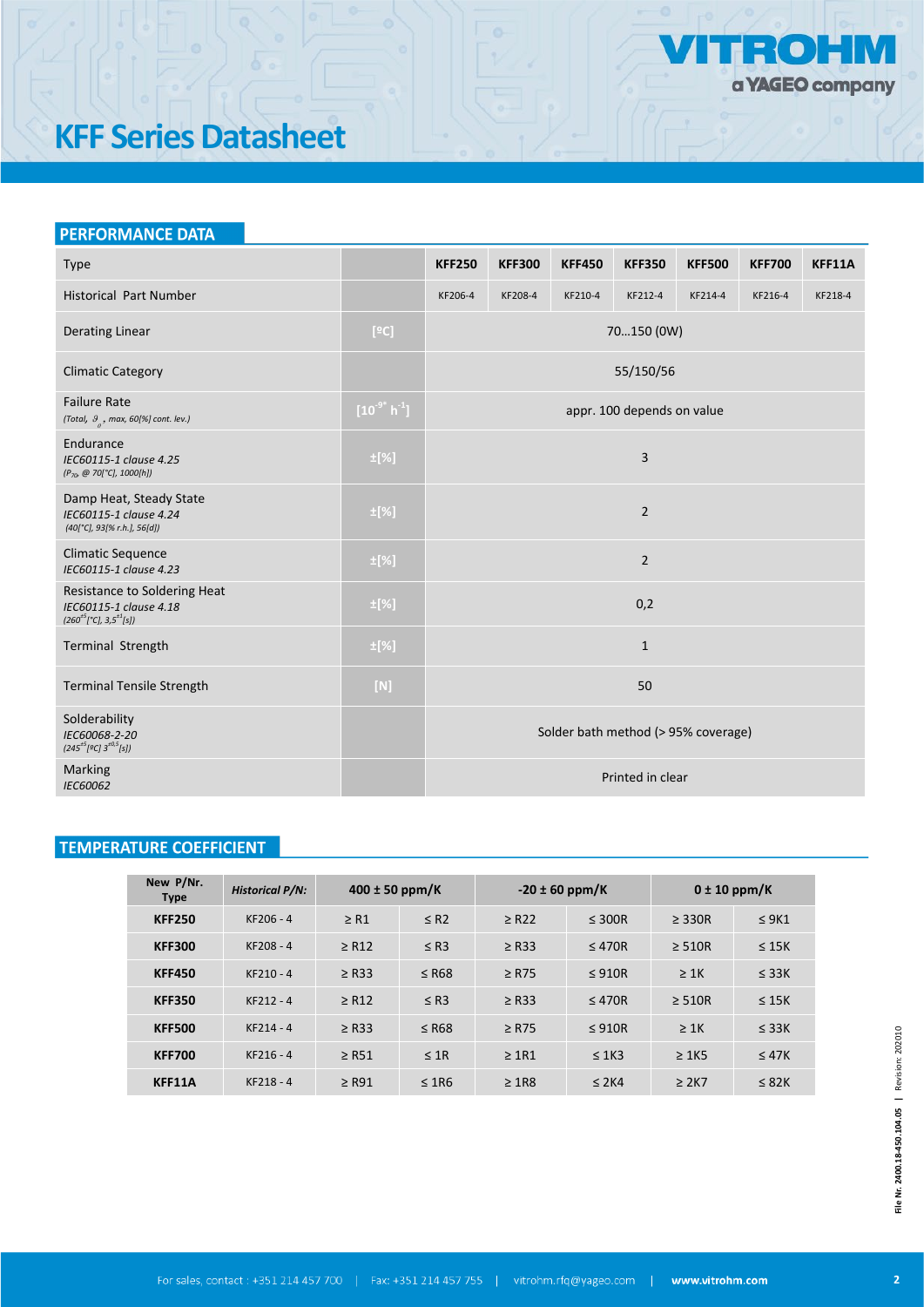

# **KFF Series Datasheet**

| <b>PERFORMANCE DATA</b>                                                                  |                  |                                     |               |               |                            |               |               |         |
|------------------------------------------------------------------------------------------|------------------|-------------------------------------|---------------|---------------|----------------------------|---------------|---------------|---------|
| Type                                                                                     |                  | <b>KFF250</b>                       | <b>KFF300</b> | <b>KFF450</b> | <b>KFF350</b>              | <b>KFF500</b> | <b>KFF700</b> | KFF11A  |
| <b>Historical Part Number</b>                                                            |                  | KF206-4                             | KF208-4       | KF210-4       | KF212-4                    | KF214-4       | KF216-4       | KF218-4 |
| <b>Derating Linear</b>                                                                   | [°C]             |                                     |               |               | 70150 (0W)                 |               |               |         |
| <b>Climatic Category</b>                                                                 |                  |                                     |               |               | 55/150/56                  |               |               |         |
| <b>Failure Rate</b><br>(Total, $\theta_{a}$ , max, 60[%] cont. lev.)                     | $[10^{9^*} h^1]$ |                                     |               |               | appr. 100 depends on value |               |               |         |
| Endurance<br>IEC60115-1 clause 4.25<br>(P <sub>70</sub> , @ 70[°C], 1000[h])             | $\pm$ [%]        | 3                                   |               |               |                            |               |               |         |
| Damp Heat, Steady State<br>IEC60115-1 clause 4.24<br>$(40[^{\circ}C], 93[%r.h.], 56[d])$ | $\pm$ [%]        | $\overline{2}$                      |               |               |                            |               |               |         |
| <b>Climatic Sequence</b><br>IEC60115-1 clause 4.23                                       | $\pm$ [%]        | $\overline{2}$                      |               |               |                            |               |               |         |
| Resistance to Soldering Heat<br>IEC60115-1 clause 4.18<br>$(260^{+5}[°C], 3,5^{+1}[s])$  | $\pm$ [%]        | 0,2                                 |               |               |                            |               |               |         |
| Terminal Strength                                                                        | $\pm$ [%]        | $\mathbf{1}$                        |               |               |                            |               |               |         |
| <b>Terminal Tensile Strength</b>                                                         | $[N]$            |                                     |               |               | 50                         |               |               |         |
| Solderability<br>IEC60068-2-20<br>$(245^{+5}[9C]3^{+0.5}[s])$                            |                  | Solder bath method (> 95% coverage) |               |               |                            |               |               |         |
| Marking<br>IEC60062                                                                      |                  |                                     |               |               | Printed in clear           |               |               |         |

# **TEMPERATURE COEFFICIENT**

| New P/Nr.<br><b>Type</b> | <b>Historical P/N:</b> | $400 \pm 50$ ppm/K |            | $-20 \pm 60$ ppm/K |             | $0 \pm 10$ ppm/K |            |
|--------------------------|------------------------|--------------------|------------|--------------------|-------------|------------------|------------|
| <b>KFF250</b>            | KF206 - 4              | $\geq$ R1          | $\leq$ R2  | $\geq$ R22         | $\leq$ 300R | $\geq$ 330R      | $\leq$ 9K1 |
| <b>KFF300</b>            | KF208-4                | $\geq$ R12         | $\leq$ R3  | $\geq$ R33         | $\leq 470R$ | $\geq$ 510R      | $\leq$ 15K |
| <b>KFF450</b>            | $KF210 - 4$            | $\geq$ R33         | $\leq$ R68 | $\geq$ R75         | $\leq$ 910R | $\geq$ 1K        | $\leq$ 33K |
| <b>KFF350</b>            | $KF212 - 4$            | $\geq$ R12         | $\leq$ R3  | $\geq$ R33         | $\leq 470R$ | $\geq$ 510R      | $\leq$ 15K |
| <b>KFF500</b>            | $KF214 - 4$            | $\geq$ R33         | $\leq$ R68 | $\geq$ R75         | $\leq$ 910R | $\geq 1K$        | $\leq$ 33K |
| <b>KFF700</b>            | $KF216 - 4$            | $\geq$ R51         | $\leq$ 1R  | $\geq$ 1R1         | $\leq$ 1K3  | $\geq 1K5$       | $\leq$ 47K |
| KFF11A                   | KF218-4                | $\geq$ R91         | $\leq$ 1R6 | $\geq$ 1R8         | $\leq$ 2K4  | $\geq$ 2K7       | $\leq$ 82K |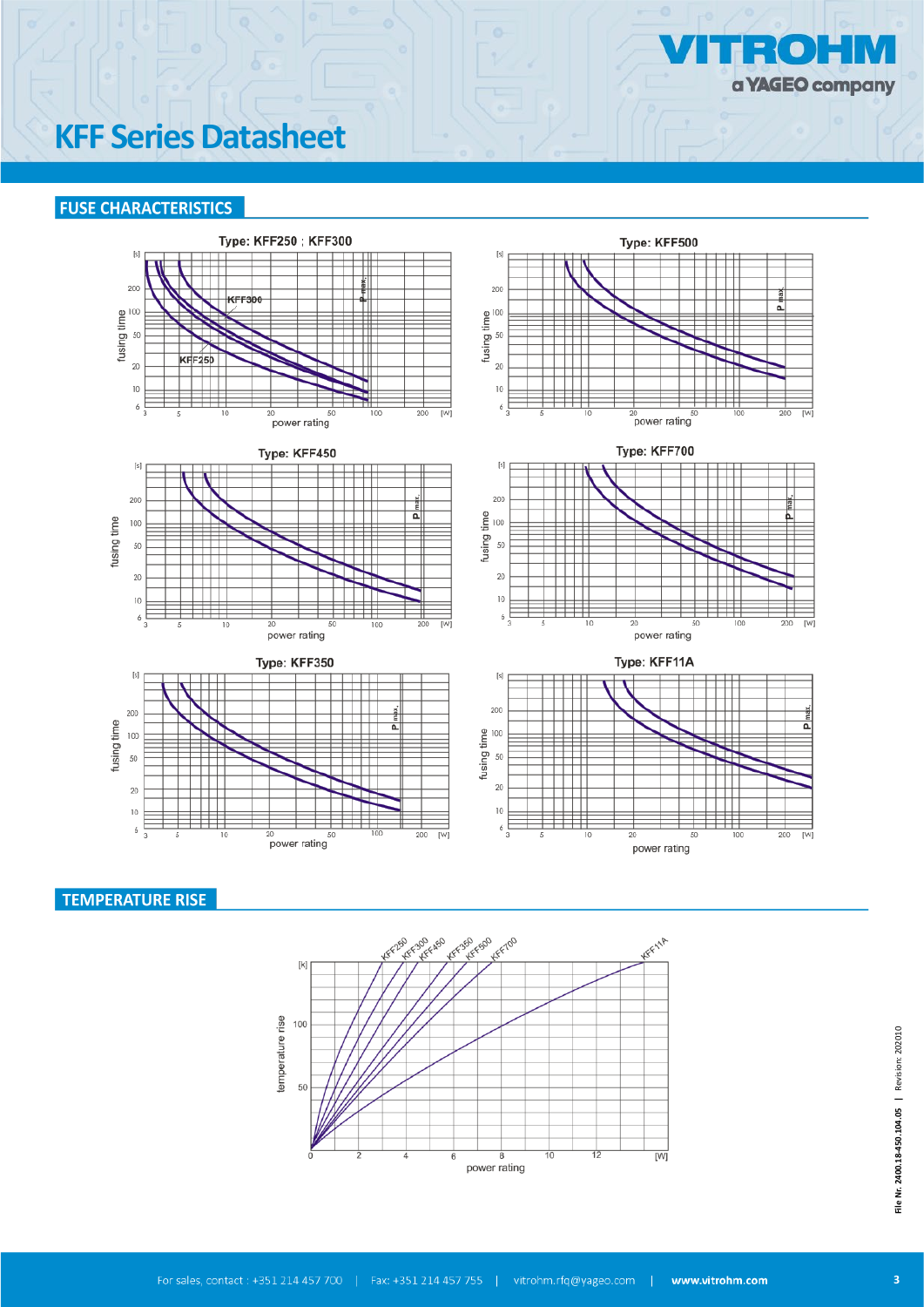

# **KFF Series Datasheet**

### **FUSE CHARACTERISTICS**













### **TEMPERATURE RISE**